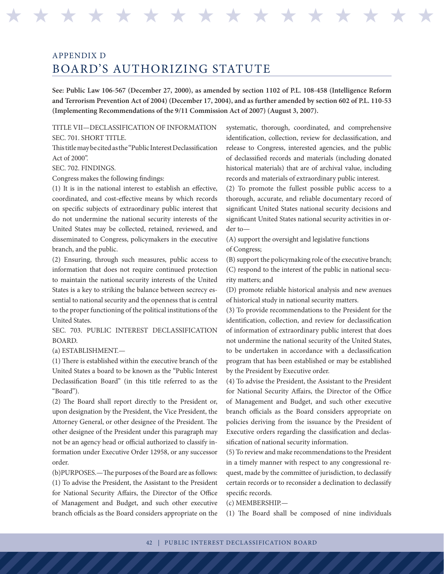## APPENDIX D BOARD'S AUTHORIZING STATUTE

**See: Public Law 106-567 (December 27, 2000), as amended by section 1102 of P.L. 108-458 (Intelligence Reform and Terrorism Prevention Act of 2004) (December 17, 2004), and as further amended by section 602 of P.L. 110-53 (Implementing Recommendations of the 9/11 Commission Act of 2007) (August 3, 2007).**

H H H H H H H H H H H H H H H H H H H H H H H H H H H H H H H H

TITLE VII—DECLASSIFICATION OF INFORMATION SEC. 701. SHORT TITLE.

This title may be cited as the ''Public Interest Declassification Act of 2000''.

SEC. 702. FINDINGS.

Congress makes the following findings:

(1) It is in the national interest to establish an effective, coordinated, and cost-effective means by which records on specific subjects of extraordinary public interest that do not undermine the national security interests of the United States may be collected, retained, reviewed, and disseminated to Congress, policymakers in the executive branch, and the public.

(2) Ensuring, through such measures, public access to information that does not require continued protection to maintain the national security interests of the United States is a key to striking the balance between secrecy essential to national security and the openness that is central to the proper functioning of the political institutions of the United States.

SEC. 703. PUBLIC INTEREST DECLASSIFICATION BOARD.

(a) ESTABLISHMENT.—

(1) There is established within the executive branch of the United States a board to be known as the ''Public Interest Declassification Board'' (in this title referred to as the ''Board'').

(2) The Board shall report directly to the President or, upon designation by the President, the Vice President, the Attorney General, or other designee of the President. The other designee of the President under this paragraph may not be an agency head or official authorized to classify information under Executive Order 12958, or any successor order.

(b)PURPOSES.—The purposes of the Board are as follows: (1) To advise the President, the Assistant to the President for National Security Affairs, the Director of the Office of Management and Budget, and such other executive branch officials as the Board considers appropriate on the systematic, thorough, coordinated, and comprehensive identification, collection, review for declassification, and release to Congress, interested agencies, and the public of declassified records and materials (including donated historical materials) that are of archival value, including records and materials of extraordinary public interest.

(2) To promote the fullest possible public access to a thorough, accurate, and reliable documentary record of significant United States national security decisions and significant United States national security activities in order to—

(A) support the oversight and legislative functions of Congress;

(B) support the policymaking role of the executive branch; (C) respond to the interest of the public in national security matters; and

(D) promote reliable historical analysis and new avenues of historical study in national security matters.

(3) To provide recommendations to the President for the identification, collection, and review for declassification of information of extraordinary public interest that does not undermine the national security of the United States, to be undertaken in accordance with a declassification program that has been established or may be established by the President by Executive order.

(4) To advise the President, the Assistant to the President for National Security Affairs, the Director of the Office of Management and Budget, and such other executive branch officials as the Board considers appropriate on policies deriving from the issuance by the President of Executive orders regarding the classification and declassification of national security information.

(5) To review and make recommendations to the President in a timely manner with respect to any congressional request, made by the committee of jurisdiction, to declassify certain records or to reconsider a declination to declassify specific records.

(c) MEMBERSHIP.—

(1) The Board shall be composed of nine individuals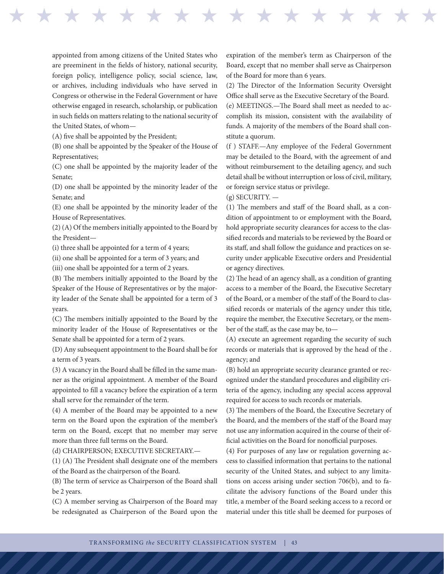appointed from among citizens of the United States who are preeminent in the fields of history, national security, foreign policy, intelligence policy, social science, law, or archives, including individuals who have served in Congress or otherwise in the Federal Government or have otherwise engaged in research, scholarship, or publication in such fields on matters relating to the national security of the United States, of whom—

(A) five shall be appointed by the President;

(B) one shall be appointed by the Speaker of the House of Representatives;

(C) one shall be appointed by the majority leader of the Senate;

(D) one shall be appointed by the minority leader of the Senate; and

(E) one shall be appointed by the minority leader of the House of Representatives.

(2) (A) Of the members initially appointed to the Board by the President—

(i) three shall be appointed for a term of 4 years;

(ii) one shall be appointed for a term of 3 years; and

(iii) one shall be appointed for a term of 2 years.

(B) The members initially appointed to the Board by the Speaker of the House of Representatives or by the majority leader of the Senate shall be appointed for a term of 3 years.

(C) The members initially appointed to the Board by the minority leader of the House of Representatives or the Senate shall be appointed for a term of 2 years.

(D) Any subsequent appointment to the Board shall be for a term of 3 years.

(3) A vacancy in the Board shall be filled in the same manner as the original appointment. A member of the Board appointed to fill a vacancy before the expiration of a term shall serve for the remainder of the term.

(4) A member of the Board may be appointed to a new term on the Board upon the expiration of the member's term on the Board, except that no member may serve more than three full terms on the Board.

(d) CHAIRPERSON; EXECUTIVE SECRETARY.—

(1) (A) The President shall designate one of the members of the Board as the chairperson of the Board.

(B) The term of service as Chairperson of the Board shall be 2 years.

(C) A member serving as Chairperson of the Board may be redesignated as Chairperson of the Board upon the expiration of the member's term as Chairperson of the Board, except that no member shall serve as Chairperson of the Board for more than 6 years.

(2) The Director of the Information Security Oversight Office shall serve as the Executive Secretary of the Board. (e) MEETINGS.—The Board shall meet as needed to accomplish its mission, consistent with the availability of funds. A majority of the members of the Board shall constitute a quorum.

(f ) STAFF.—Any employee of the Federal Government may be detailed to the Board, with the agreement of and without reimbursement to the detailing agency, and such detail shall be without interruption or loss of civil, military, or foreign service status or privilege.

 $(g)$  SECURITY.  $-$ 

H H H H H H H H H H H H H H H H H H H H H H H H H H H H H H H H

(1) The members and staff of the Board shall, as a condition of appointment to or employment with the Board, hold appropriate security clearances for access to the classified records and materials to be reviewed by the Board or its staff, and shall follow the guidance and practices on security under applicable Executive orders and Presidential or agency directives.

(2) The head of an agency shall, as a condition of granting access to a member of the Board, the Executive Secretary of the Board, or a member of the staff of the Board to classified records or materials of the agency under this title, require the member, the Executive Secretary, or the member of the staff, as the case may be, to—

(A) execute an agreement regarding the security of such records or materials that is approved by the head of the . agency; and

(B) hold an appropriate security clearance granted or recognized under the standard procedures and eligibility criteria of the agency, including any special access approval required for access to such records or materials.

(3) The members of the Board, the Executive Secretary of the Board, and the members of the staff of the Board may not use any information acquired in the course of their official activities on the Board for nonofficial purposes.

(4) For purposes of any law or regulation governing access to classified information that pertains to the national security of the United States, and subject to any limitations on access arising under section 706(b), and to facilitate the advisory functions of the Board under this title, a member of the Board seeking access to a record or material under this title shall be deemed for purposes of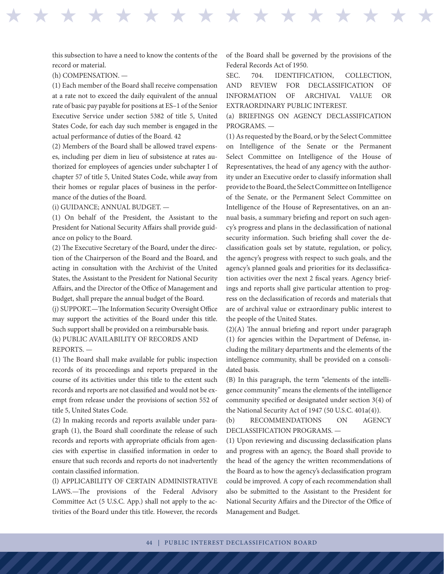this subsection to have a need to know the contents of the record or material.

(h) COMPENSATION. —

(1) Each member of the Board shall receive compensation at a rate not to exceed the daily equivalent of the annual rate of basic pay payable for positions at ES–1 of the Senior Executive Service under section 5382 of title 5, United States Code, for each day such member is engaged in the actual performance of duties of the Board. 42

(2) Members of the Board shall be allowed travel expenses, including per diem in lieu of subsistence at rates authorized for employees of agencies under subchapter I of chapter 57 of title 5, United States Code, while away from their homes or regular places of business in the performance of the duties of the Board.

(i) GUIDANCE; ANNUAL BUDGET. —

(1) On behalf of the President, the Assistant to the President for National Security Affairs shall provide guidance on policy to the Board.

(2) The Executive Secretary of the Board, under the direction of the Chairperson of the Board and the Board, and acting in consultation with the Archivist of the United States, the Assistant to the President for National Security Affairs, and the Director of the Office of Management and Budget, shall prepare the annual budget of the Board.

(j) SUPPORT.—The Information Security Oversight Office may support the activities of the Board under this title. Such support shall be provided on a reimbursable basis. (k) PUBLIC AVAILABILITY OF RECORDS AND REPORTS. —

(1) The Board shall make available for public inspection records of its proceedings and reports prepared in the course of its activities under this title to the extent such records and reports are not classified and would not be exempt from release under the provisions of section 552 of title 5, United States Code.

(2) In making records and reports available under paragraph (1), the Board shall coordinate the release of such records and reports with appropriate officials from agencies with expertise in classified information in order to ensure that such records and reports do not inadvertently contain classified information.

(l) APPLICABILITY OF CERTAIN ADMINISTRATIVE LAWS.—The provisions of the Federal Advisory Committee Act (5 U.S.C. App.) shall not apply to the activities of the Board under this title. However, the records of the Board shall be governed by the provisions of the Federal Records Act of 1950.

H H H H H H H H H H H H H H H H H H H H H H H H H H H H H H H H

SEC. 704. IDENTIFICATION, COLLECTION, AND REVIEW FOR DECLASSIFICATION OF INFORMATION OF ARCHIVAL VALUE OR EXTRAORDINARY PUBLIC INTEREST.

(a) BRIEFINGS ON AGENCY DECLASSIFICATION PROGRAMS. —

(1) As requested by the Board, or by the Select Committee on Intelligence of the Senate or the Permanent Select Committee on Intelligence of the House of Representatives, the head of any agency with the authority under an Executive order to classify information shall provide to the Board, the Select Committee on Intelligence of the Senate, or the Permanent Select Committee on Intelligence of the House of Representatives, on an annual basis, a summary briefing and report on such agency's progress and plans in the declassification of national security information. Such briefing shall cover the declassification goals set by statute, regulation, or policy, the agency's progress with respect to such goals, and the agency's planned goals and priorities for its declassification activities over the next 2 fiscal years. Agency briefings and reports shall give particular attention to progress on the declassification of records and materials that are of archival value or extraordinary public interest to the people of the United States.

(2)(A) The annual briefing and report under paragraph (1) for agencies within the Department of Defense, including the military departments and the elements of the intelligence community, shall be provided on a consolidated basis.

(B) In this paragraph, the term "elements of the intelligence community'' means the elements of the intelligence community specified or designated under section 3(4) of the National Security Act of 1947 (50 U.S.C. 401a(4)).

(b) RECOMMENDATIONS ON AGENCY DECLASSIFICATION PROGRAMS. —

(1) Upon reviewing and discussing declassification plans and progress with an agency, the Board shall provide to the head of the agency the written recommendations of the Board as to how the agency's declassification program could be improved. A copy of each recommendation shall also be submitted to the Assistant to the President for National Security Affairs and the Director of the Office of Management and Budget.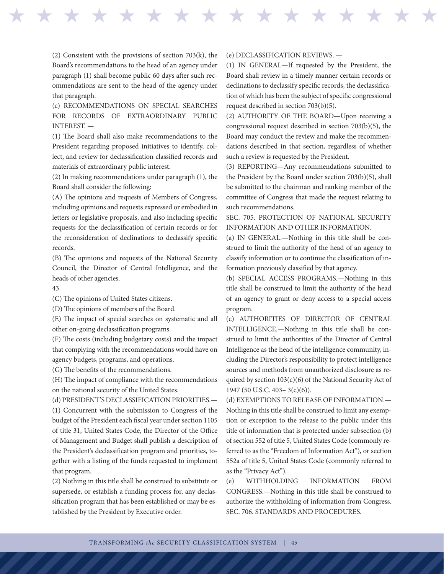(2) Consistent with the provisions of section 703(k), the Board's recommendations to the head of an agency under paragraph (1) shall become public 60 days after such recommendations are sent to the head of the agency under that paragraph.

(c) RECOMMENDATIONS ON SPECIAL SEARCHES FOR RECORDS OF EXTRAORDINARY PUBLIC INTEREST. —

(1) The Board shall also make recommendations to the President regarding proposed initiatives to identify, collect, and review for declassification classified records and materials of extraordinary public interest.

(2) In making recommendations under paragraph (1), the Board shall consider the following:

(A) The opinions and requests of Members of Congress, including opinions and requests expressed or embodied in letters or legislative proposals, and also including specific requests for the declassification of certain records or for the reconsideration of declinations to declassify specific records.

(B) The opinions and requests of the National Security Council, the Director of Central Intelligence, and the heads of other agencies.

43

(C) The opinions of United States citizens.

(D) The opinions of members of the Board.

(E) The impact of special searches on systematic and all other on-going declassification programs.

(F) The costs (including budgetary costs) and the impact that complying with the recommendations would have on agency budgets, programs, and operations.

(G) The benefits of the recommendations.

(H) The impact of compliance with the recommendations on the national security of the United States.

(d) PRESIDENT'S DECLASSIFICATION PRIORITIES.—

(1) Concurrent with the submission to Congress of the budget of the President each fiscal year under section 1105 of title 31, United States Code, the Director of the Office of Management and Budget shall publish a description of the President's declassification program and priorities, together with a listing of the funds requested to implement that program.

(2) Nothing in this title shall be construed to substitute or supersede, or establish a funding process for, any declassification program that has been established or may be established by the President by Executive order.

## (e) DECLASSIFICATION REVIEWS. —

H H H H H H H H H H H H H H H H H H H H H H H H H H H H H H H H

(1) IN GENERAL—If requested by the President, the Board shall review in a timely manner certain records or declinations to declassify specific records, the declassification of which has been the subject of specific congressional request described in section 703(b)(5).

(2) AUTHORITY OF THE BOARD—Upon receiving a congressional request described in section 703(b)(5), the Board may conduct the review and make the recommendations described in that section, regardless of whether such a review is requested by the President.

(3) REPORTING—Any recommendations submitted to the President by the Board under section 703(b)(5), shall be submitted to the chairman and ranking member of the committee of Congress that made the request relating to such recommendations.

SEC. 705. PROTECTION OF NATIONAL SECURITY INFORMATION AND OTHER INFORMATION.

(a) IN GENERAL.—Nothing in this title shall be construed to limit the authority of the head of an agency to classify information or to continue the classification of information previously classified by that agency.

(b) SPECIAL ACCESS PROGRAMS.—Nothing in this title shall be construed to limit the authority of the head of an agency to grant or deny access to a special access program.

(c) AUTHORITIES OF DIRECTOR OF CENTRAL INTELLIGENCE.—Nothing in this title shall be construed to limit the authorities of the Director of Central Intelligence as the head of the intelligence community, including the Director's responsibility to protect intelligence sources and methods from unauthorized disclosure as required by section  $103(c)(6)$  of the National Security Act of 1947 (50 U.S.C. 403– 3(c)(6)).

(d) EXEMPTIONS TO RELEASE OF INFORMATION.— Nothing in this title shall be construed to limit any exemption or exception to the release to the public under this title of information that is protected under subsection (b) of section 552 of title 5, United States Code (commonly referred to as the "Freedom of Information Act"), or section 552a of title 5, United States Code (commonly referred to as the "Privacy Act").

(e) WITHHOLDING INFORMATION FROM CONGRESS.—Nothing in this title shall be construed to authorize the withholding of information from Congress. SEC. 706. STANDARDS AND PROCEDURES.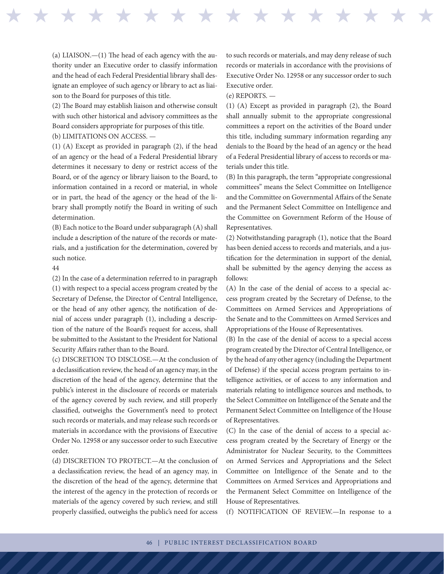(a) LIAISON.—(1) The head of each agency with the authority under an Executive order to classify information and the head of each Federal Presidential library shall designate an employee of such agency or library to act as liaison to the Board for purposes of this title.

(2) The Board may establish liaison and otherwise consult with such other historical and advisory committees as the Board considers appropriate for purposes of this title.

(b) LIMITATIONS ON ACCESS. —

(1) (A) Except as provided in paragraph (2), if the head of an agency or the head of a Federal Presidential library determines it necessary to deny or restrict access of the Board, or of the agency or library liaison to the Board, to information contained in a record or material, in whole or in part, the head of the agency or the head of the library shall promptly notify the Board in writing of such determination.

(B) Each notice to the Board under subparagraph (A) shall include a description of the nature of the records or materials, and a justification for the determination, covered by such notice.

## 44

(2) In the case of a determination referred to in paragraph (1) with respect to a special access program created by the Secretary of Defense, the Director of Central Intelligence, or the head of any other agency, the notification of denial of access under paragraph (1), including a description of the nature of the Board's request for access, shall be submitted to the Assistant to the President for National Security Affairs rather than to the Board.

(c) DISCRETION TO DISCLOSE.—At the conclusion of a declassification review, the head of an agency may, in the discretion of the head of the agency, determine that the public's interest in the disclosure of records or materials of the agency covered by such review, and still properly classified, outweighs the Government's need to protect such records or materials, and may release such records or materials in accordance with the provisions of Executive Order No. 12958 or any successor order to such Executive order.

(d) DISCRETION TO PROTECT.—At the conclusion of a declassification review, the head of an agency may, in the discretion of the head of the agency, determine that the interest of the agency in the protection of records or materials of the agency covered by such review, and still properly classified, outweighs the public's need for access to such records or materials, and may deny release of such records or materials in accordance with the provisions of Executive Order No. 12958 or any successor order to such Executive order.

## (e) REPORTS. —

H H H H H H H H H H H H H H H H H H H H H H H H H H H H H H H H

(1) (A) Except as provided in paragraph (2), the Board shall annually submit to the appropriate congressional committees a report on the activities of the Board under this title, including summary information regarding any denials to the Board by the head of an agency or the head of a Federal Presidential library of access to records or materials under this title.

(B) In this paragraph, the term ''appropriate congressional committees'' means the Select Committee on Intelligence and the Committee on Governmental Affairs of the Senate and the Permanent Select Committee on Intelligence and the Committee on Government Reform of the House of Representatives.

(2) Notwithstanding paragraph (1), notice that the Board has been denied access to records and materials, and a justification for the determination in support of the denial, shall be submitted by the agency denying the access as follows:

(A) In the case of the denial of access to a special access program created by the Secretary of Defense, to the Committees on Armed Services and Appropriations of the Senate and to the Committees on Armed Services and Appropriations of the House of Representatives.

(B) In the case of the denial of access to a special access program created by the Director of Central Intelligence, or by the head of any other agency (including the Department of Defense) if the special access program pertains to intelligence activities, or of access to any information and materials relating to intelligence sources and methods, to the Select Committee on Intelligence of the Senate and the Permanent Select Committee on Intelligence of the House of Representatives.

(C) In the case of the denial of access to a special access program created by the Secretary of Energy or the Administrator for Nuclear Security, to the Committees on Armed Services and Appropriations and the Select Committee on Intelligence of the Senate and to the Committees on Armed Services and Appropriations and the Permanent Select Committee on Intelligence of the House of Representatives.

(f) NOTIFICATION OF REVIEW.—In response to a